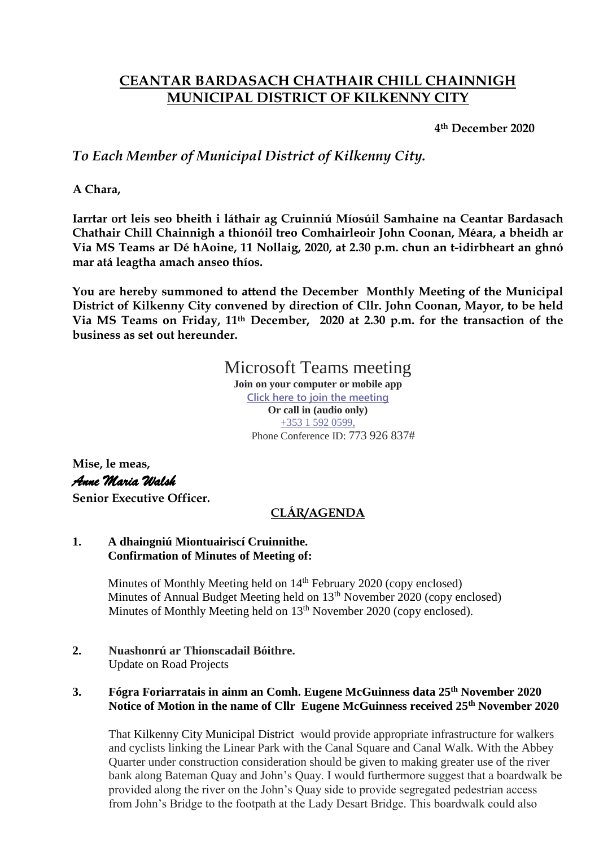# **CEANTAR BARDASACH CHATHAIR CHILL CHAINNIGH MUNICIPAL DISTRICT OF KILKENNY CITY**

**4th December 2020**

*To Each Member of Municipal District of Kilkenny City.*

**A Chara,**

**Iarrtar ort leis seo bheith i láthair ag Cruinniú Míosúil Samhaine na Ceantar Bardasach Chathair Chill Chainnigh a thionóil treo Comhairleoir John Coonan, Méara, a bheidh ar Via MS Teams ar Dé hAoine, 11 Nollaig, 2020, at 2.30 p.m. chun an t-idirbheart an ghnó mar atá leagtha amach anseo thíos.**

**You are hereby summoned to attend the December Monthly Meeting of the Municipal District of Kilkenny City convened by direction of Cllr. John Coonan, Mayor, to be held Via MS Teams on Friday, 11th December, 2020 at 2.30 p.m. for the transaction of the business as set out hereunder.**

# Microsoft Teams meeting

**Join on your computer or mobile app [Click here to join the meeting](https://teams.microsoft.com/l/meetup-join/19%3ameeting_OTQyYzdjZmUtMjQ3YS00MmExLTk1NjktNzZhY2Q0MTA5NjVh%40thread.v2/0?context=%7b%22Tid%22%3a%226918322c-49f6-4d6a-a117-8688e17a7489%22%2c%22Oid%22%3a%2252c24c7d-24e1-4ccd-b6c5-ad1e0b11a7b5%22%7d) Or call in (audio only)** [+353 1 592 0599,](tel:+35315920599,,773926837# ) Phone Conference ID: 773 926 837#

**Mise, le meas,** *Anne Maria Walsh*  **Senior Executive Officer.**

# **CLÁR/AGENDA**

#### **1. A dhaingniú Miontuairiscí Cruinnithe. Confirmation of Minutes of Meeting of:**

Minutes of Monthly Meeting held on 14<sup>th</sup> February 2020 (copy enclosed) Minutes of Annual Budget Meeting held on 13<sup>th</sup> November 2020 (copy enclosed) Minutes of Monthly Meeting held on 13<sup>th</sup> November 2020 (copy enclosed).

**2. Nuashonrú ar Thionscadail Bóithre.** Update on Road Projects

## **3. Fógra Foriarratais in ainm an Comh. Eugene McGuinness data 25th November 2020 Notice of Motion in the name of Cllr Eugene McGuinness received 25th November 2020**

That Kilkenny City Municipal District would provide appropriate infrastructure for walkers and cyclists linking the Linear Park with the Canal Square and Canal Walk. With the Abbey Quarter under construction consideration should be given to making greater use of the river bank along Bateman Quay and John's Quay. I would furthermore suggest that a boardwalk be provided along the river on the John's Quay side to provide segregated pedestrian access from John's Bridge to the footpath at the Lady Desart Bridge. This boardwalk could also